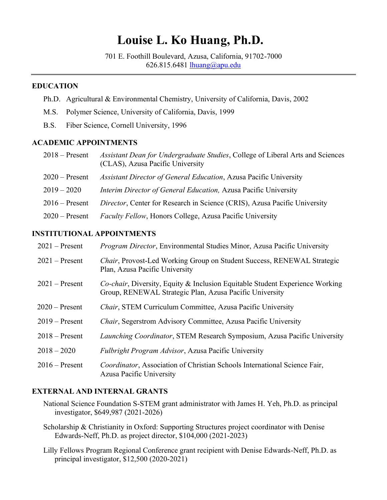# **Louise L. Ko Huang, Ph.D.**

701 E. Foothill Boulevard, Azusa, California, 91702-7000 626.815.6481 [lhuang@apu.edu](mailto:lhuang@apu.edu)

### **EDUCATION**

- Ph.D. Agricultural & Environmental Chemistry, University of California, Davis, 2002
- M.S. Polymer Science, University of California, Davis, 1999
- B.S. Fiber Science, Cornell University, 1996

## **ACADEMIC APPOINTMENTS**

| $2018 -$ Present | Assistant Dean for Undergraduate Studies, College of Liberal Arts and Sciences<br>(CLAS), Azusa Pacific University |
|------------------|--------------------------------------------------------------------------------------------------------------------|
| $2020 -$ Present | Assistant Director of General Education, Azusa Pacific University                                                  |
| $2019 - 2020$    | <i>Interim Director of General Education, Azusa Pacific University</i>                                             |
| $2016$ – Present | Director, Center for Research in Science (CRIS), Azusa Pacific University                                          |
| $2020$ – Present | <i>Faculty Fellow</i> , Honors College, Azusa Pacific University                                                   |

# **INSTITUTIONAL APPOINTMENTS**

| $2021$ – Present | Program Director, Environmental Studies Minor, Azusa Pacific University                                                                         |
|------------------|-------------------------------------------------------------------------------------------------------------------------------------------------|
| $2021$ – Present | Chair, Provost-Led Working Group on Student Success, RENEWAL Strategic<br>Plan, Azusa Pacific University                                        |
| $2021$ – Present | <i>Co-chair</i> , Diversity, Equity & Inclusion Equitable Student Experience Working<br>Group, RENEWAL Strategic Plan, Azusa Pacific University |
| $2020$ – Present | <i>Chair</i> , STEM Curriculum Committee, Azusa Pacific University                                                                              |
| $2019 -$ Present | Chair, Segerstrom Advisory Committee, Azusa Pacific University                                                                                  |
| $2018 -$ Present | <i>Launching Coordinator</i> , STEM Research Symposium, Azusa Pacific University                                                                |
| $2018 - 2020$    | <i>Fulbright Program Advisor</i> , Azusa Pacific University                                                                                     |
| $2016$ – Present | Coordinator, Association of Christian Schools International Science Fair,<br>Azusa Pacific University                                           |

## **EXTERNAL AND INTERNAL GRANTS**

- National Science Foundation S-STEM grant administrator with James H. Yeh, Ph.D. as principal investigator, \$649,987 (2021-2026)
- Scholarship & Christianity in Oxford: Supporting Structures project coordinator with Denise Edwards-Neff, Ph.D. as project director, \$104,000 (2021-2023)
- Lilly Fellows Program Regional Conference grant recipient with Denise Edwards-Neff, Ph.D. as principal investigator, \$12,500 (2020-2021)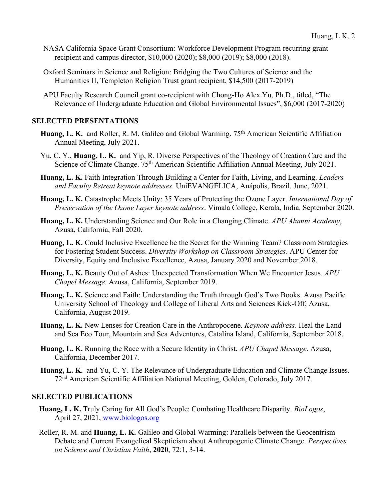- NASA California Space Grant Consortium: Workforce Development Program recurring grant recipient and campus director, \$10,000 (2020); \$8,000 (2019); \$8,000 (2018).
- Oxford Seminars in Science and Religion: Bridging the Two Cultures of Science and the Humanities II, Templeton Religion Trust grant recipient, \$14,500 (2017-2019)
- APU Faculty Research Council grant co-recipient with Chong-Ho Alex Yu, Ph.D., titled, "The Relevance of Undergraduate Education and Global Environmental Issues", \$6,000 (2017-2020)

# **SELECTED PRESENTATIONS**

- Huang, L. K. and Roller, R. M. Galileo and Global Warming. 75<sup>th</sup> American Scientific Affiliation Annual Meeting, July 2021.
- Yu, C. Y., **Huang, L. K.** and Yip, R. Diverse Perspectives of the Theology of Creation Care and the Science of Climate Change. 75<sup>th</sup> American Scientific Affiliation Annual Meeting, July 2021.
- **Huang, L. K.** Faith Integration Through Building a Center for Faith, Living, and Learning. *Leaders and Faculty Retreat keynote addresses*. UniEVANGÉLICA, Anápolis, Brazil. June, 2021.
- **Huang, L. K.** Catastrophe Meets Unity: 35 Years of Protecting the Ozone Layer. *International Day of Preservation of the Ozone Layer keynote address*. Vimala College, Kerala, India. September 2020.
- **Huang, L. K.** Understanding Science and Our Role in a Changing Climate. *APU Alumni Academy*, Azusa, California, Fall 2020.
- **Huang, L. K.** Could Inclusive Excellence be the Secret for the Winning Team? Classroom Strategies for Fostering Student Success. *Diversity Workshop on Classroom Strategies*. APU Center for Diversity, Equity and Inclusive Excellence, Azusa, January 2020 and November 2018.
- **Huang, L. K.** Beauty Out of Ashes: Unexpected Transformation When We Encounter Jesus. *APU Chapel Message.* Azusa, California, September 2019.
- **Huang, L. K.** Science and Faith: Understanding the Truth through God's Two Books. Azusa Pacific University School of Theology and College of Liberal Arts and Sciences Kick-Off, Azusa, California, August 2019.
- **Huang, L. K.** New Lenses for Creation Care in the Anthropocene. *Keynote address*. Heal the Land and Sea Eco Tour, Mountain and Sea Adventures, Catalina Island, California, September 2018.
- **Huang, L. K.** Running the Race with a Secure Identity in Christ. *APU Chapel Message*. Azusa, California, December 2017.
- **Huang, L. K.** and Yu, C. Y. The Relevance of Undergraduate Education and Climate Change Issues. 72nd American Scientific Affiliation National Meeting, Golden, Colorado, July 2017.

## **SELECTED PUBLICATIONS**

- **Huang, L. K.** Truly Caring for All God's People: Combating Healthcare Disparity. *BioLogos*, April 27, 2021, [www.biologos.org](http://www.biologos.org/)
- Roller, R. M. and **Huang, L. K.** Galileo and Global Warming: Parallels between the Geocentrism Debate and Current Evangelical Skepticism about Anthropogenic Climate Change. *Perspectives on Science and Christian Faith*, **2020**, 72:1, 3-14.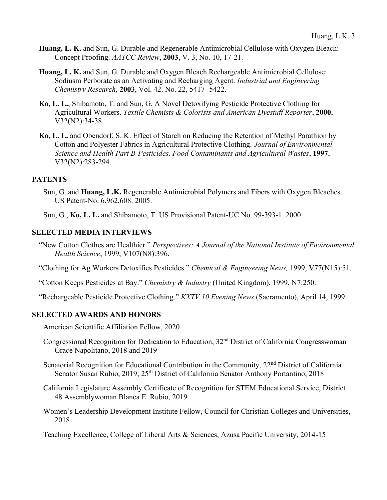- **Huang, L. K.** and Sun, G. Durable and Regenerable Antimicrobial Cellulose with Oxygen Bleach: Concept Proofing. *AATCC Review*, **2003**, V. 3, No. 10, 17-21.
- **Huang, L. K.** and Sun, G. Durable and Oxygen Bleach Rechargeable Antimicrobial Cellulose: Sodiusm Perborate as an Activating and Recharging Agent. *Industrial and Engineering Chemistry Research*, **2003**, Vol. 42. No. 22, 5417- 5422.
- **Ko, L. L.**, Shibamoto, T. and Sun, G. A Novel Detoxifying Pesticide Protective Clothing for Agricultural Workers. *Textile Chemists & Colorists and American Dyestuff Reporter*, **2000**, V32(N2):34-38.
- **Ko, L. L.** and Obendorf, S. K. Effect of Starch on Reducing the Retention of Methyl Parathion by Cotton and Polyester Fabrics in Agricultural Protective Clothing. *Journal of Environmental Science and Health Part B-Pesticides, Food Contaminants and Agricultural Wastes*, **1997**, V32(N2):283-294.

# **PATENTS**

- Sun, G. and **Huang, L.K.** Regenerable Antimicrobial Polymers and Fibers with Oxygen Bleaches. US Patent-No. 6,962,608. 2005.
- Sun, G., **Ko, L. L.** and Shibamoto, T. US Provisional Patent-UC No. 99-393-1. 2000.

# **SELECTED MEDIA INTERVIEWS**

- "New Cotton Clothes are Healthier." *Perspectives: A Journal of the National Institute of Environmental Health Science*, 1999, V107(N8):396.
- "Clothing for Ag Workers Detoxifies Pesticides." *Chemical & Engineering News,* 1999, V77(N15):51.
- "Cotton Keeps Pesticides at Bay." *Chemistry & Industry* (United Kingdom), 1999, N7:250.
- "Rechargeable Pesticide Protective Clothing." *KXTV 10 Evening News* (Sacramento), April 14, 1999.

## **SELECTED AWARDS AND HONORS**

American Scientific Affiliation Fellow, 2020

- Congressional Recognition for Dedication to Education, 32nd District of California Congresswoman Grace Napolitano, 2018 and 2019
- Senatorial Recognition for Educational Contribution in the Community, 22<sup>nd</sup> District of California Senator Susan Rubio, 2019; 25<sup>th</sup> District of California Senator Anthony Portantino, 2018
- California Legislature Assembly Certificate of Recognition for STEM Educational Service, District 48 Assemblywoman Blanca E. Rubio, 2019
- Women's Leadership Development Institute Fellow, Council for Christian Colleges and Universities, 2018
- Teaching Excellence, College of Liberal Arts & Sciences, Azusa Pacific University, 2014-15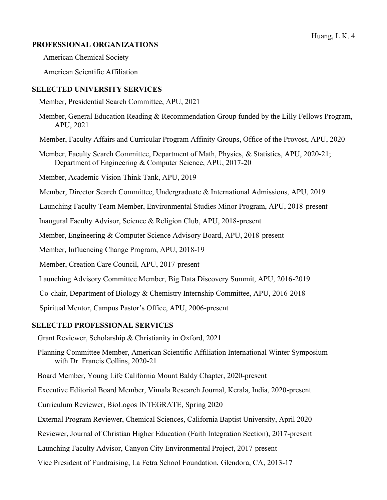### Huang, L.K. 4

## **PROFESSIONAL ORGANIZATIONS**

American Chemical Society

American Scientific Affiliation

### **SELECTED UNIVERSITY SERVICES**

Member, Presidential Search Committee, APU, 2021

- Member, General Education Reading & Recommendation Group funded by the Lilly Fellows Program, APU, 2021
- Member, Faculty Affairs and Curricular Program Affinity Groups, Office of the Provost, APU, 2020
- Member, Faculty Search Committee, Department of Math, Physics, & Statistics, APU, 2020-21; Department of Engineering & Computer Science, APU, 2017-20

Member, Academic Vision Think Tank, APU, 2019

Member, Director Search Committee, Undergraduate & International Admissions, APU, 2019

Launching Faculty Team Member, Environmental Studies Minor Program, APU, 2018-present

Inaugural Faculty Advisor, Science & Religion Club, APU, 2018-present

Member, Engineering & Computer Science Advisory Board, APU, 2018-present

Member, Influencing Change Program, APU, 2018-19

Member, Creation Care Council, APU, 2017-present

Launching Advisory Committee Member, Big Data Discovery Summit, APU, 2016-2019

Co-chair, Department of Biology & Chemistry Internship Committee, APU, 2016-2018

Spiritual Mentor, Campus Pastor's Office, APU, 2006-present

#### **SELECTED PROFESSIONAL SERVICES**

Grant Reviewer, Scholarship & Christianity in Oxford, 2021

- Planning Committee Member, American Scientific Affiliation International Winter Symposium with Dr. Francis Collins, 2020-21
- Board Member, Young Life California Mount Baldy Chapter, 2020-present
- Executive Editorial Board Member, Vimala Research Journal, Kerala, India, 2020-present
- Curriculum Reviewer, BioLogos INTEGRATE, Spring 2020
- External Program Reviewer, Chemical Sciences, California Baptist University, April 2020

Reviewer, Journal of Christian Higher Education (Faith Integration Section), 2017-present

- Launching Faculty Advisor, Canyon City Environmental Project, 2017-present
- Vice President of Fundraising, La Fetra School Foundation, Glendora, CA, 2013-17